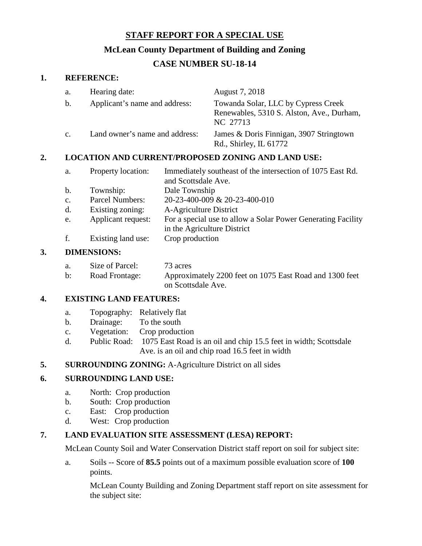# **STAFF REPORT FOR A SPECIAL USE**

## **McLean County Department of Building and Zoning**

# **CASE NUMBER SU-18-14**

### **1. REFERENCE:**

| a.             | Hearing date:                  | August 7, 2018                                                                               |
|----------------|--------------------------------|----------------------------------------------------------------------------------------------|
| b.             | Applicant's name and address:  | Towanda Solar, LLC by Cypress Creek<br>Renewables, 5310 S. Alston, Ave., Durham,<br>NC 27713 |
| $\mathbf{c}$ . | Land owner's name and address: | James & Doris Finnigan, 3907 Stringtown<br>Rd., Shirley, IL 61772                            |

### **2. LOCATION AND CURRENT/PROPOSED ZONING AND LAND USE:**

| a.          | Property location:     | Immediately southeast of the intersection of 1075 East Rd. |
|-------------|------------------------|------------------------------------------------------------|
|             |                        | and Scottsdale Ave.                                        |
|             | b. Township:           | Dale Township                                              |
| $c_{\cdot}$ | <b>Parcel Numbers:</b> | 20-23-400-009 & 20-23-400-010                              |
|             | d. Existing zoning:    | A-Agriculture District                                     |

- e. Applicant request: For a special use to allow a Solar Power Generating Facility
- in the Agriculture District
- f. Existing land use: Crop production

### **3. DIMENSIONS:**

| a.             | Size of Parcel: | 73 acres                                                |
|----------------|-----------------|---------------------------------------------------------|
| $\mathbf{b}$ : | Road Frontage:  | Approximately 2200 feet on 1075 East Road and 1300 feet |
|                |                 | on Scottsdale Ave.                                      |

#### **4. EXISTING LAND FEATURES:**

- a. Topography: Relatively flat
- b. Drainage: To the south
- c. Vegetation: Crop production
- d. Public Road: 1075 East Road is an oil and chip 15.5 feet in width; Scottsdale Ave. is an oil and chip road 16.5 feet in width
- **5. SURROUNDING ZONING:** A-Agriculture District on all sides

### **6. SURROUNDING LAND USE:**

- a. North: Crop production
- b. South: Crop production
- c. East: Crop production
- d. West: Crop production

#### **7. LAND EVALUATION SITE ASSESSMENT (LESA) REPORT:**

McLean County Soil and Water Conservation District staff report on soil for subject site:

a. Soils -- Score of **85.5** points out of a maximum possible evaluation score of **100** points.

McLean County Building and Zoning Department staff report on site assessment for the subject site: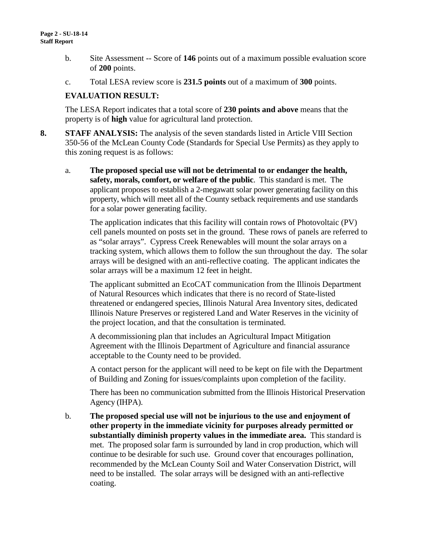- b. Site Assessment -- Score of **146** points out of a maximum possible evaluation score of **200** points.
- c. Total LESA review score is **231.5 points** out of a maximum of **300** points.

### **EVALUATION RESULT:**

The LESA Report indicates that a total score of **230 points and above** means that the property is of **high** value for agricultural land protection.

- **8. STAFF ANALYSIS:** The analysis of the seven standards listed in Article VIII Section 350-56 of the McLean County Code (Standards for Special Use Permits) as they apply to this zoning request is as follows:
	- a. **The proposed special use will not be detrimental to or endanger the health, safety, morals, comfort, or welfare of the public**. This standard is met. The applicant proposes to establish a 2-megawatt solar power generating facility on this property, which will meet all of the County setback requirements and use standards for a solar power generating facility.

The application indicates that this facility will contain rows of Photovoltaic (PV) cell panels mounted on posts set in the ground. These rows of panels are referred to as "solar arrays". Cypress Creek Renewables will mount the solar arrays on a tracking system, which allows them to follow the sun throughout the day. The solar arrays will be designed with an anti-reflective coating. The applicant indicates the solar arrays will be a maximum 12 feet in height.

The applicant submitted an EcoCAT communication from the Illinois Department of Natural Resources which indicates that there is no record of State-listed threatened or endangered species, Illinois Natural Area Inventory sites, dedicated Illinois Nature Preserves or registered Land and Water Reserves in the vicinity of the project location, and that the consultation is terminated.

A decommissioning plan that includes an Agricultural Impact Mitigation Agreement with the Illinois Department of Agriculture and financial assurance acceptable to the County need to be provided.

A contact person for the applicant will need to be kept on file with the Department of Building and Zoning for issues/complaints upon completion of the facility.

There has been no communication submitted from the Illinois Historical Preservation Agency (IHPA).

b. **The proposed special use will not be injurious to the use and enjoyment of other property in the immediate vicinity for purposes already permitted or substantially diminish property values in the immediate area.** This standard is met. The proposed solar farm is surrounded by land in crop production, which will continue to be desirable for such use. Ground cover that encourages pollination, recommended by the McLean County Soil and Water Conservation District, will need to be installed. The solar arrays will be designed with an anti-reflective coating.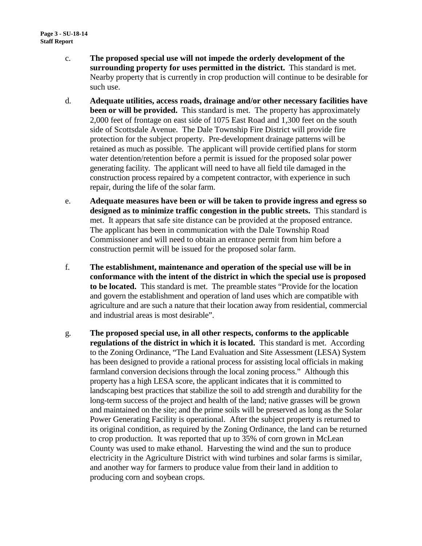- c. **The proposed special use will not impede the orderly development of the surrounding property for uses permitted in the district.** This standard is met. Nearby property that is currently in crop production will continue to be desirable for such use.
- d. **Adequate utilities, access roads, drainage and/or other necessary facilities have been or will be provided.** This standard is met. The property has approximately 2,000 feet of frontage on east side of 1075 East Road and 1,300 feet on the south side of Scottsdale Avenue. The Dale Township Fire District will provide fire protection for the subject property. Pre-development drainage patterns will be retained as much as possible. The applicant will provide certified plans for storm water detention/retention before a permit is issued for the proposed solar power generating facility. The applicant will need to have all field tile damaged in the construction process repaired by a competent contractor, with experience in such repair, during the life of the solar farm.
- e. **Adequate measures have been or will be taken to provide ingress and egress so designed as to minimize traffic congestion in the public streets.** This standard is met. It appears that safe site distance can be provided at the proposed entrance. The applicant has been in communication with the Dale Township Road Commissioner and will need to obtain an entrance permit from him before a construction permit will be issued for the proposed solar farm.
- f. **The establishment, maintenance and operation of the special use will be in conformance with the intent of the district in which the special use is proposed to be located.** This standard is met. The preamble states "Provide for the location and govern the establishment and operation of land uses which are compatible with agriculture and are such a nature that their location away from residential, commercial and industrial areas is most desirable".
- g. **The proposed special use, in all other respects, conforms to the applicable regulations of the district in which it is located.** This standard is met. According to the Zoning Ordinance, "The Land Evaluation and Site Assessment (LESA) System has been designed to provide a rational process for assisting local officials in making farmland conversion decisions through the local zoning process." Although this property has a high LESA score, the applicant indicates that it is committed to landscaping best practices that stabilize the soil to add strength and durability for the long-term success of the project and health of the land; native grasses will be grown and maintained on the site; and the prime soils will be preserved as long as the Solar Power Generating Facility is operational. After the subject property is returned to its original condition, as required by the Zoning Ordinance, the land can be returned to crop production. It was reported that up to 35% of corn grown in McLean County was used to make ethanol. Harvesting the wind and the sun to produce electricity in the Agriculture District with wind turbines and solar farms is similar, and another way for farmers to produce value from their land in addition to producing corn and soybean crops.